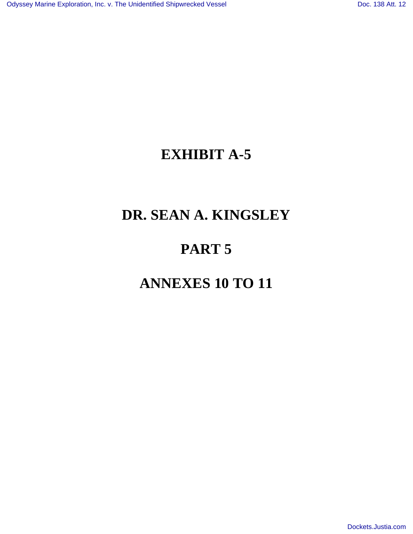# **EXHIBIT A-5**

# **DR. SEAN A. KINGSLEY**

# **PART 5**

# **ANNEXES 10 TO 11**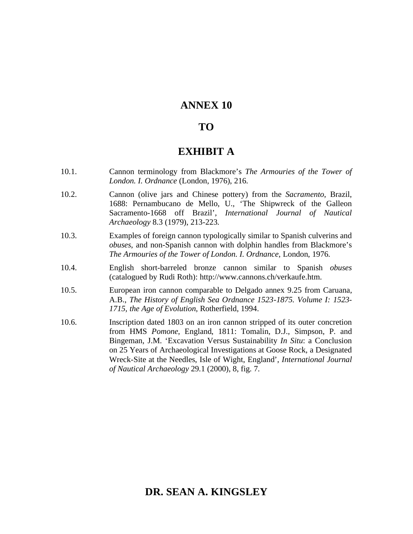## **ANNEX 10**

## **TO**

## **EXHIBIT A**

- 10.1. Cannon terminology from Blackmore's *The Armouries of the Tower of London. I. Ordnance* (London, 1976), 216.
- 10.2. Cannon (olive jars and Chinese pottery) from the *Sacramento*, Brazil, 1688: Pernambucano de Mello, U., 'The Shipwreck of the Galleon Sacramento-1668 off Brazil', *International Journal of Nautical Archaeology* 8.3 (1979), 213-223.
- 10.3. Examples of foreign cannon typologically similar to Spanish culverins and *obuses*, and non-Spanish cannon with dolphin handles from Blackmore's *The Armouries of the Tower of London. I. Ordnance*, London, 1976.
- 10.4. English short-barreled bronze cannon similar to Spanish *obuses* (catalogued by Rudi Roth): http://www.cannons.ch/verkaufe.htm.
- 10.5. European iron cannon comparable to Delgado annex 9.25 from Caruana, A.B., *The History of English Sea Ordnance 1523-1875. Volume I: 1523- 1715, the Age of Evolution*, Rotherfield, 1994.
- 10.6. Inscription dated 1803 on an iron cannon stripped of its outer concretion from HMS *Pomone*, England, 1811: Tomalin, D.J., Simpson, P. and Bingeman, J.M. 'Excavation Versus Sustainability *In Situ*: a Conclusion on 25 Years of Archaeological Investigations at Goose Rock, a Designated Wreck-Site at the Needles, Isle of Wight, England', *International Journal of Nautical Archaeology* 29.1 (2000), 8, fig. 7.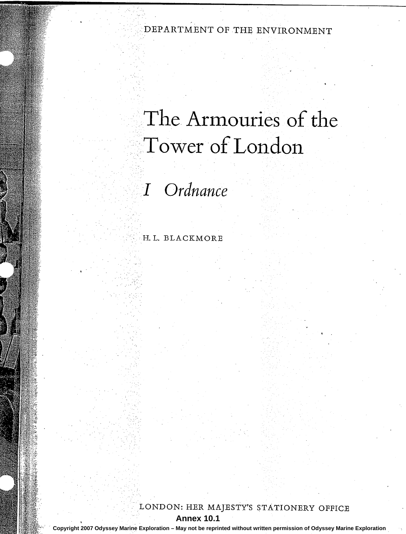# DEPARTMENT OF THE ENVIRONMENT

# The Armouries of the Tower of London

I Ordnance

H.L. BLACKMORE

LONDON: HER MAJESTY'S STATIONERY OFFICE

**Annex 10.1** 

Copyright 2007 Odyssey Marine Exploration - May not be reprinted without written permission of Odyssey Marine Exploration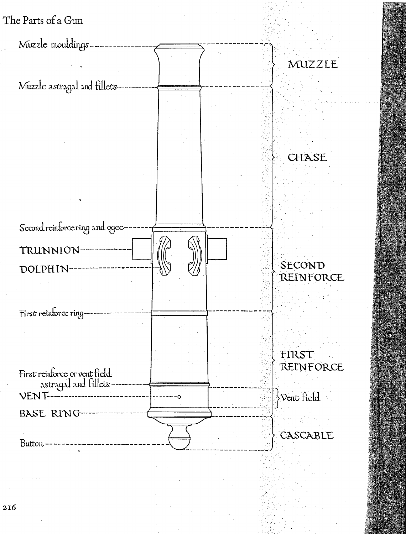

 $2I6$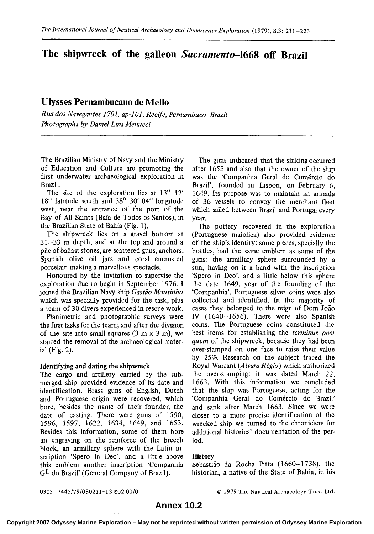# **The shipwreck of the galleon Sacramento-1668 off Brazil**

## **Ulysses Pernambucano de Mello**

*Rua dos Navegantes 1701, up-101, Recife, Pemambuco, Brazil Photographs by Daniel Lins Menucci* 

The Brazilian Ministry of Navy and the Ministry of Education and Culture are promoting the first underwater archaeological exploration in Brazil.

The site of the exploration lies at  $13^0$   $12'$ 18" latitude south and 38' 30' 04" longitude west, near the entrance of the port of the Bay of All Saints (Baia de Todos 0s Santos), in the Brazilian State of Bahia (Fig. 1).

The shipwreck lies on a gravel bottom at 31-33 m depth, and at the top and around a pile of ballast stones, are scattered guns, anchors, Spanish olive oil jars and coral encrusted porcelain making a marvellous spectacle.

Honoured by the invitation to supervise the exploration due to begin in September 1976, **I**  joined the Brazilian Navy ship *Gastio Moutinho*  which was specially provided for the task, plus a team of 30 divers experienced in rescue work.

Planimetric and photographic surveys were the first tasks for the team; and after the division of the site into small squares (3 m **x** 3 m), we started the removal of the archaeological material (Fig. *2).* 

#### Identifying and dating the shipwreck

The cargo and artillery carried by the submerged ship provided evidence of its date and identification. Brass guns of English, Dutch and Portuguese origin were recovered, which bore, besides the name of their founder, the date of casting. There were guns of 1590, 1596, 3597, 1622, 1634, 1649, and 1653. Besides this information, some of them bore an engraving on the reinforce of the breech block, **an** armillary sphere with the Latin inscription 'Spero in Deo', and a little above this emblem another inscription 'Companhia  $GL$  do Brazil' (General Company of Brazil).

The guns indicated that the sinking occurred after 1653 and also that the owner of the ship was the 'Companhia Geral do Comércio do Brazil', founded in Lisbon, on February 6, 1649. Its purpose was to maintain **an** armada of 36 vessels to convoy the merchant fleet which sailed between Brazil and Portugal every year.

The pottery recovered in the exploration (Portuguese maiolica) also provided evidence of the ship's identity; some pieces, specially the bottles, had the same emblem as some of the guns: the armillary sphere surrounded by a sun, having on it a band with the inscription 'Spero in Deo', and a little below this sphere the date 1649, year of the founding of the 'Companhia'. Portuguese silver coins were also collected and identified. In the majority of cases they belonged to the reign of Dom João **IV** (1640-1656). There were also Spanish coins. The Portuguese coins constituted the best items for establishing the *terminus post quem* of the shipwreck, because they had been over-stamped on one face to raise their value by *25%.* Research on the subject traced the Royal Warrant (Alvará Régio) which authorized the over-stamping: it was dated March 22, 1663. With this information we concluded that the ship was Portuguese, acting for the 'Companhia Geral do Comércio do Brazil' and sank after March 1663. Since we were closer to a more precise identification of the wrecked ship we turned to the chroniclers for additional historical documentation of the period.

#### History

Sebastião da Rocha Pitta (1660-1738), the historian, a native of the State of Bahia, in his

0305-7445/79/030211+13 \$02.00/0 *0* 1979 The Nautical Archaeology Trust Ltd.

### **Annex 10.2**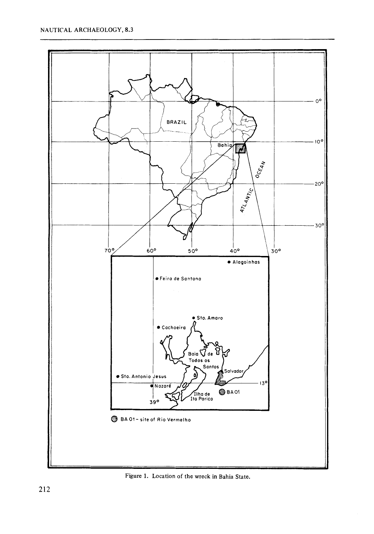

**Figure 1. Location** of **the wreck in** Bahia **State.**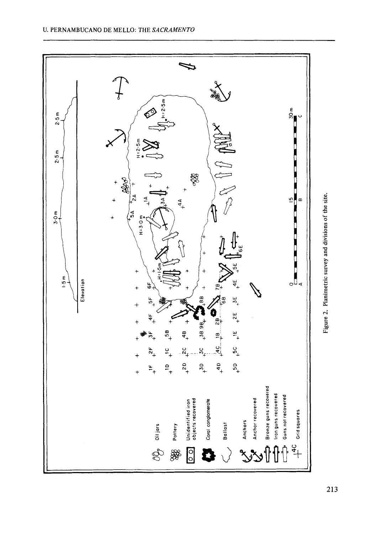

**213**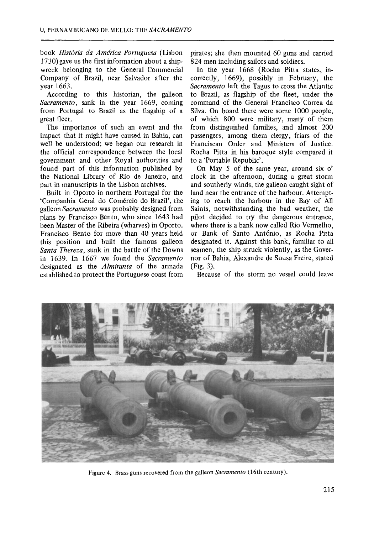book *Hist6ria da Arn6rica Portuguesa* (Lisbon 1730) gave us the first information about a shipwreck belonging to the General Commercial Company of Brazil, near Salvador after the year 1663.

According to this historian, the galleon *Sacramento,* sank in the year 1669, coming from Portugal to Brazil as the flagship of a great fleet.

The importance of such an event and the impact that it might have caused in Bahia, can well be understood; we began our research in the official correspondence between the local government and other Royal authorities and found part of this information published by the National Library of Rio de Janeiro, and part in manuscripts in the Lisbon archives.

Built in Oporto in northern Portugal for the 'Companhia Geral do Comércio do Brazil', the galleon *Sacramento* was probably designed from plans by Francisco Bento, who since 1643 had been Master of the Ribeira (wharves) in Oporto. Francisco Bento for more than 40 years held this position and built the famous galleon *Santa Thereza, sunk in the battle of the Downs* in 1639. In 1667 we found the *Sacramento*  designated as the *Almiranta* of the armada established to protect the Portuguese coast from

pirates; she then mounted 60 guns and carried 824 men including sailors and soldiers.

In the year 1668 (Rocha Pitta states, incorrectly, 1669), possibly in February, the *Sacramento* left the Tagus to cross the Atlantic to Brazil, as flagship of the fleet, under the command of the General Francisco Correa da Silva. On board there were some 1000 people, of which 800 were military, many of them from distinguished families, and almost 200 passengers, among them clergy, friars of the Franciscan Order and Ministers of Justice. Rocha Pitta in his baroque style compared it to a 'Portable Republic'.

On May 5 of the same year, around six *0'*  clock in the afternoon, during a great storm and southerly winds, the galleon caught sight of land near the entrance of the harbour. Attempting to reach the harbour in the Bay of All Saints, notwithstanding the bad weather, the pilot decided to try the dangerous entrance, where there is a bank now called Rio Vermelho, or Bank of Santo António, as Rocha Pitta designated it. Against this bank, familiar to all seamen, the ship struck violently, as the Governor of Bahia, Alexandre de Sousa Freire, stated (Fig. 3).

Because of the storm no vessel could leave



Figure 4. Brass guns recovered from the galleon *Sucrumento* (16th century).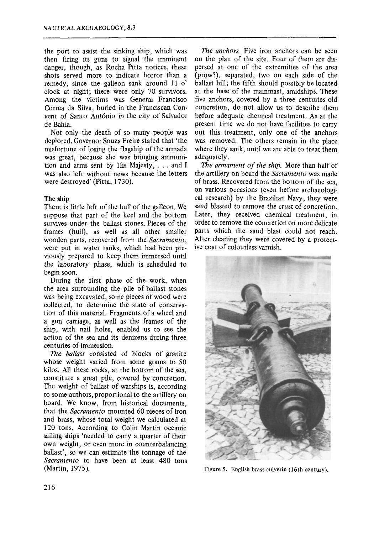the port to assist the sinking ship, which was then firing its guns to signal the imminent danger, though, as Rocha Pitta notices, these shots served more to indicate horror than a remedy, since the galleon sank around **11** *0'*  clock at night; there were only 70 survivors. Among the victims was General Francisco Correa da Silva, buried in the Franciscan Convent of Santo Ant6nio in the city of Salvador de Bahia.

Not only the death of so many people was deplored. Governor Souza Freire stated that 'the misfortune of losing the flagship of the armada was great, because she was bringing ammunition and arms sent by His Majesty, . . . and I was also left without news because the letters were destroyed' (Pitta, 1730).

#### **The** ship

There is little left of the hull of the galleon. We suppose that part of the keel and the bottom survives under the ballast stones. Pieces of the frames (hull), as well as all other smaller wooden parts, recovered from the *Sacramento,*  were put in water tanks, which had been previously prepared to keep them immersed until the laboratory phase, which is scheduled to begin soon.

During the first phase of the work, when the area surrounding the pile of ballast stones was being excavated, some pieces of wood were collected, to determine the state of conservation of this material. Fragments of a wheel and a gun carriage, as well as the frames of the ship, with nail holes, enabled us to see the action of the sea and its denizens during three centuries of immersion.

*The ballast* consisted of blocks of granite whose weight varied from some grams to 50 kilos. All these rocks, at the bottom of the sea, constitute a great pile, covered by concretion. The weight of balIast of warships is, according to some authors, proportional to the artillery on board. We know, from historical documents, that the *Sacramento* mounted **60** pieces of iron and brass, whose total weight we calculated at 120 tons. According to Colin Martin oceanic sailing ships 'needed to carry a quarter of their own weight, or even more in counterbalancing ballast', so we can estimate the tonnage of the *Sacramento* to have been at least 480 tons (Martin, **1975).** 

*The anchors.* Five iron anchors can be seen on the plan of the site. Four of them are dispersed at one of the extremities of the area (prow?), separated, two on each side of the ballast hill; the fifth should possibly be located at the base of the mainmast, amidships. These five anchors, covered by a three centuries old concretion, do not allow us to describe them before adequate chemical treatment. As at the present time we do not have facilities to carry out this treatment, only one of the anchors was removed. The others remain in the place where they sank, until we are able to treat them adequately.

*The armament of the ship.* More than half of the artillery on board the *Sacramento* was made of brass. Recovered from the bottom of the sea, on various occasions (even before archaeological research) by the Brazilian Navy, they were sand blasted to remove the crust of concretion. Later, they received chemical treatment, in order to remove the concretion on more delicate parts which the sand blast could not reach. After cleaning they were covered by a protective coat of colourless varnish.



**Figure 5. English brass culverin (16th century).**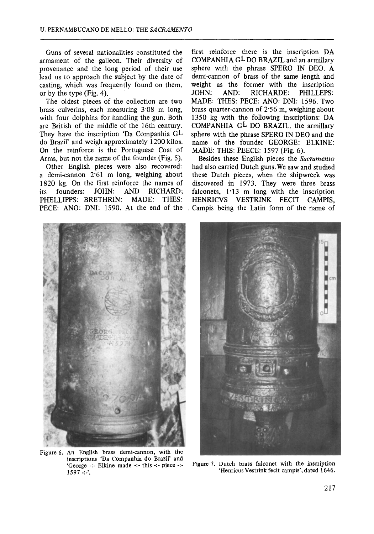Guns of several nationalities constituted the armament of the galleon. Their diversity of provenance and the long period of their use lead **us** to approach the subject by the date of casting, which was frequently found on them, or by the type (Fig. 4).

The oldest pieces of the collection are two brass culverins, each measuring 3.08 m long, with four dolphins for handling the gun. Both are British of the middle of the 16th century. They have the inscription 'Da Companhia GL do Brazil' and weigh approximately **1200** kilos. On the reinforce is the Portuguese Coat of Arms, but not the name of the founder (Fig. 5).

Other English pieces were also recovered: a demi-cannon **2-61** m long, weighing about 1820 kg. On the first reinforce the names of its founders: JOHN: AND RICHARD; its founders: JOHN: AND RICHARD;<br>PHELLIPPS: BRETHRIN: MADE: THES: PHELLIPPS: BRETHRIN: PECE: ANO: DNI: 1590. At the end of the

first reinforce there is the inscription DA COMPANHIA GLDO BRAZIL and **an** armillary sphere with the phrase SPERO IN DEO. A demi-cannon of brass of the same length and weight as the former with the inscription<br>JOHN: AND: RICHARDE: PHILLEPS: AND: RICHARDE: PHILLEPS: MADE: THES: PECE: **ANO:** DNI: **1596.** Two brass quarter-cannon of 2.56 m, weighing about **1350** kg with the following inscriptions: DA COMPANHIA GL DO BRAZIL. the armillary sphere with the phrase SPERO IN DEO and the name of the founder GEORGE: ELKINE: MADE: THIS: PEECE: **1597** (Fig. **6).** 

Besides these English pieces the *Sacramento*  had also carried Dutch guns. We saw and studied these Dutch pieces, when the shipwreck was discovered in **1973.** They were three brass falconets,  $1.13$  m long with the inscription HENRICVS VESTRINK FECIT CAMPIS, Campis being the Latin form of the name of



**Figure** *6.* **An English brass demi-cannon, with the inscriptions 'Da Companhia do Brazil' and 'George** -:- **Elkine made** -:- **this** -:- **piece** -:- **<sup>1597</sup>**-:-'.



**Figure 7. Dutch brass falconet with the inscription 'Henricus Vestrink fecit campis', dated 1646.**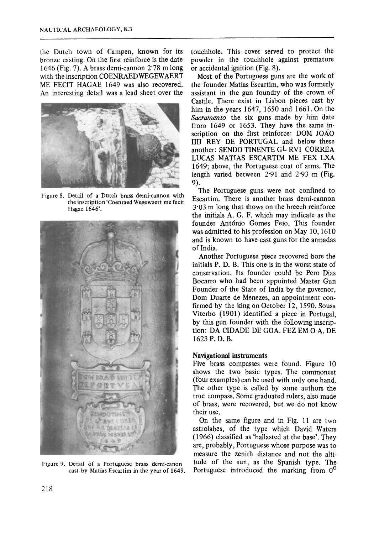the Dutch town of Campen, known for its bronze casting. On the first reinforce is the date 1646 (Fig. 7). A brass demi-cannon 2'78 m long with the inscription COENRAED WEGEWAERT ME FECIT HAGAE 1649 was also recovered. An interesting detail was a lead sheet over the



Figure 8. Detail of a Dutch brass demi-cannon with the inscription 'Coenraed Wegewaert me fecit Hagae **1646'.** 



1"igure 9. Detail **of** a Portuguese brass demi-canon cast by Matias Escartim in the year **of** 1649.

touchhole. This cover served to protect the powder in the touchhole against premature or accidental ignition (Fig. 8).

Most of the Portuguese guns are the work of the founder Matias Escartim, who was formerly assistant in the gun foundry of the crown of Castile. There exist in Lisbon pieces cast by him in the years 1647, 1650 and 1661. On the *Sacramento* the **six** guns made by him date from 1649 or 1653. They have the same inscription on the first reinforce: DOM JOAO 1111 **REY** DE PORTUGAL and below these another: SEND0 TINENTE GL RVI CORREA LUCAS MATIAS ESCARTIM ME FEX LXA 1649; above, the Portuguese coat of arms. The length varied between 2-91 and 2.93 m (Fig. 9).

The Portuguese guns were not confined to Escartim. There is another brass demi-cannon 3-03 m long that shows on the breech reinforce the initials A. G. F. which may indicate as the founder Antdnio Comes Feio. This founder was admitted to his profession on May 10,1610 and is known to have cast guns for the armadas of India.

Another Portuguese piece recovered bore the initials P. D. B. This one is in the worst state of conservation. Its founder could be Pero Dias Bocarro who had been appointed Master Gun Founder of the State of India by the governor, Dom Duarte de Menezes, an appointment confirmed by the king on October 12, 1590. Sousa Viterbo (1901) identified a piece in Portugal, by this gun founder with the following inscription: DA CIDADE DE GOA. FEZ EM 0 A. DE 1623 **P.** D. **B.** 

#### **Navigational instruments**

Five brass compasses were found. Figure 10 shows the two basic types. The commonest (four examples) can be used with only one hand. The other type is called by some authors the true compass. Some graduated rulers, also made of brass, were recovered, but we do not know their use.

On the same figure and in Fig. 11 are two astrolabes, of the type which David Waters (1966) classified as 'ballasted at the base'. They are, probably, Portuguese whose purpose was to measure the zenith distance and not the altitude of the sun, as the Spanish type. The Portuguese introduced the marking from  $0^{\circ}$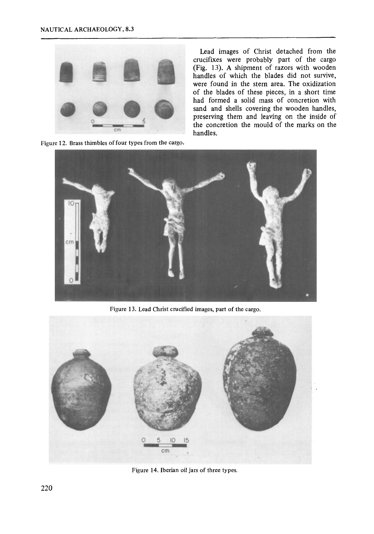

**Figure 12. Brass thimbles of four types from** the **cargo.** 

Lead images of Christ detached from the crucifixes were probably part of the cargo (Fig. 13). **A** shipment of razors with wooden handles of which the blades did not survive, were found in the stern area. The oxidization of the blades of these pieces, in a short time had formed a solid mass of concretion with sand and shells covering the wooden handles, preserving them and leaving on the inside of the concretion the mould of the marks on the handles.



Figure **13. Lead Christ crucified images, part of** the **cargo.** 



**Figure 14. Iberian oil jars of three types.**